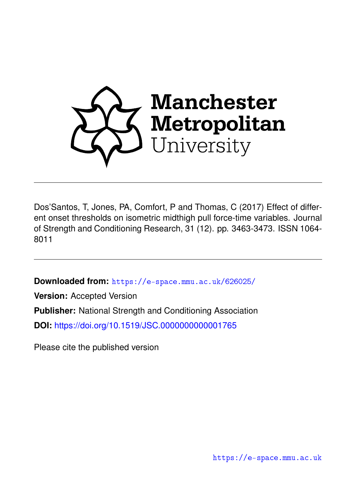

Dos'Santos, T, Jones, PA, Comfort, P and Thomas, C (2017) Effect of different onset thresholds on isometric midthigh pull force-time variables. Journal of Strength and Conditioning Research, 31 (12). pp. 3463-3473. ISSN 1064- 8011

**Downloaded from:** <https://e-space.mmu.ac.uk/626025/>

**Version:** Accepted Version **Publisher:** National Strength and Conditioning Association **DOI:** <https://doi.org/10.1519/JSC.0000000000001765>

Please cite the published version

<https://e-space.mmu.ac.uk>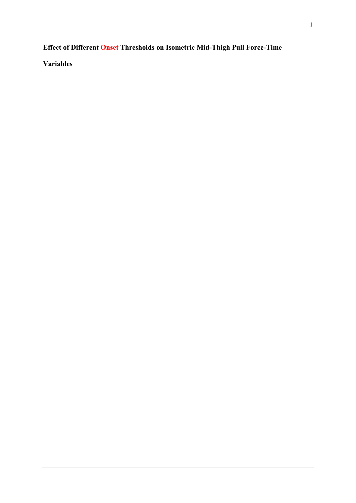# **Effect of Different Onset Thresholds on Isometric Mid-Thigh Pull Force-Time**

**Variables**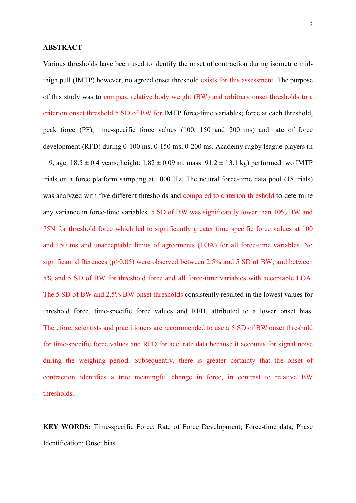#### **ABSTRACT**

Various thresholds have been used to identify the onset of contraction during isometric midthigh pull (IMTP) however, no agreed onset threshold exists for this assessment. The purpose of this study was to compare relative body weight (BW) and arbitrary onset thresholds to a criterion onset threshold 5 SD of BW for IMTP force-time variables; force at each threshold, peak force (PF), time-specific force values (100, 150 and 200 ms) and rate of force development (RFD) during 0-100 ms, 0-150 ms, 0-200 ms. Academy rugby league players (n  $= 9$ , age:  $18.5 \pm 0.4$  years; height:  $1.82 \pm 0.09$  m; mass:  $91.2 \pm 13.1$  kg) performed two IMTP trials on a force platform sampling at 1000 Hz. The neutral force-time data pool (18 trials) was analyzed with five different thresholds and compared to criterion threshold to determine any variance in force-time variables. 5 SD of BW was significantly lower than 10% BW and 75N for threshold force which led to significantly greater time specific force values at 100 and 150 ms and unacceptable limits of agreements (LOA) for all force-time variables. No significant differences ( $p > 0.05$ ) were observed between 2.5% and 5 SD of BW; and between 5% and 5 SD of BW for threshold force and all force-time variables with acceptable LOA. The 5 SD of BW and 2.5% BW onset thresholds consistently resulted in the lowest values for threshold force, time-specific force values and RFD, attributed to a lower onset bias. Therefore, scientists and practitioners are recommended to use a 5 SD of BW onset threshold for time-specific force values and RFD for accurate data because it accounts for signal noise during the weighing period. Subsequently, there is greater certainty that the onset of contraction identifies a true meaningful change in force, in contrast to relative BW thresholds.

**KEY WORDS:** Time-specific Force; Rate of Force Development; Force-time data, Phase Identification; Onset bias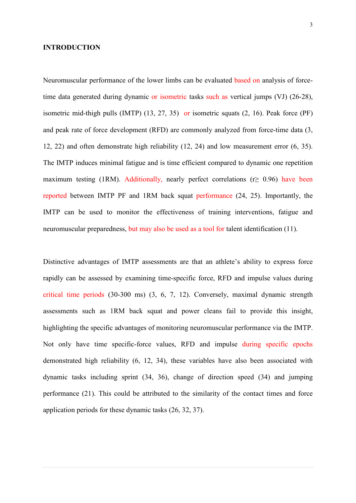#### **INTRODUCTION**

Neuromuscular performance of the lower limbs can be evaluated based on analysis of forcetime data generated during dynamic or isometric tasks such as vertical jumps (VJ) (26-28), isometric mid-thigh pulls (IMTP) (13, 27, 35) or isometric squats (2, 16). Peak force (PF) and peak rate of force development (RFD) are commonly analyzed from force-time data (3, 12, 22) and often demonstrate high reliability (12, 24) and low measurement error (6, 35). The IMTP induces minimal fatigue and is time efficient compared to dynamic one repetition maximum testing (1RM). Additionally, nearly perfect correlations ( $r \geq 0.96$ ) have been reported between IMTP PF and 1RM back squat performance (24, 25). Importantly, the IMTP can be used to monitor the effectiveness of training interventions, fatigue and neuromuscular preparedness, but may also be used as a tool for talent identification (11).

Distinctive advantages of IMTP assessments are that an athlete's ability to express force rapidly can be assessed by examining time-specific force, RFD and impulse values during critical time periods (30-300 ms) (3, 6, 7, 12). Conversely, maximal dynamic strength assessments such as 1RM back squat and power cleans fail to provide this insight, highlighting the specific advantages of monitoring neuromuscular performance via the IMTP. Not only have time specific-force values, RFD and impulse during specific epochs demonstrated high reliability (6, 12, 34), these variables have also been associated with dynamic tasks including sprint (34, 36), change of direction speed (34) and jumping performance (21). This could be attributed to the similarity of the contact times and force application periods for these dynamic tasks (26, 32, 37).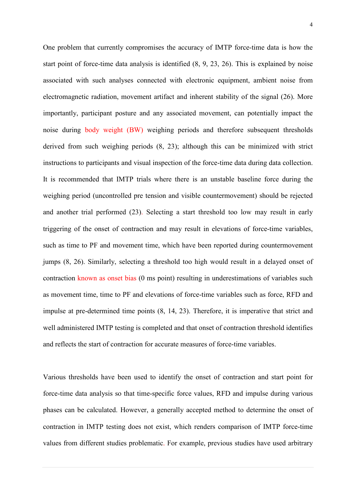One problem that currently compromises the accuracy of IMTP force-time data is how the start point of force-time data analysis is identified (8, 9, 23, 26). This is explained by noise associated with such analyses connected with electronic equipment, ambient noise from electromagnetic radiation, movement artifact and inherent stability of the signal (26). More importantly, participant posture and any associated movement, can potentially impact the noise during body weight (BW) weighing periods and therefore subsequent thresholds derived from such weighing periods (8, 23); although this can be minimized with strict instructions to participants and visual inspection of the force-time data during data collection. It is recommended that IMTP trials where there is an unstable baseline force during the weighing period (uncontrolled pre tension and visible countermovement) should be rejected and another trial performed (23). Selecting a start threshold too low may result in early triggering of the onset of contraction and may result in elevations of force-time variables, such as time to PF and movement time, which have been reported during countermovement jumps (8, 26). Similarly, selecting a threshold too high would result in a delayed onset of contraction known as onset bias (0 ms point) resulting in underestimations of variables such as movement time, time to PF and elevations of force-time variables such as force, RFD and impulse at pre-determined time points (8, 14, 23). Therefore, it is imperative that strict and well administered IMTP testing is completed and that onset of contraction threshold identifies and reflects the start of contraction for accurate measures of force-time variables.

Various thresholds have been used to identify the onset of contraction and start point for force-time data analysis so that time-specific force values, RFD and impulse during various phases can be calculated. However, a generally accepted method to determine the onset of contraction in IMTP testing does not exist, which renders comparison of IMTP force-time values from different studies problematic. For example, previous studies have used arbitrary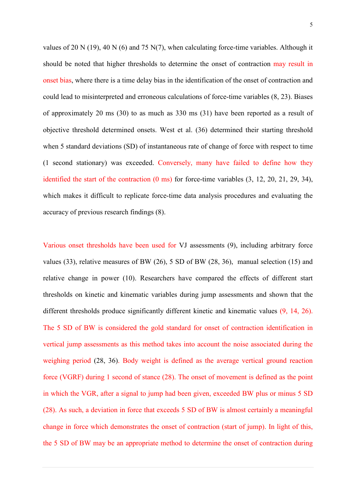values of 20 N (19), 40 N (6) and 75 N(7), when calculating force-time variables. Although it should be noted that higher thresholds to determine the onset of contraction may result in onset bias, where there is a time delay bias in the identification of the onset of contraction and could lead to misinterpreted and erroneous calculations of force-time variables (8, 23). Biases of approximately 20 ms (30) to as much as 330 ms (31) have been reported as a result of objective threshold determined onsets. West et al. (36) determined their starting threshold when 5 standard deviations (SD) of instantaneous rate of change of force with respect to time (1 second stationary) was exceeded. Conversely, many have failed to define how they identified the start of the contraction (0 ms) for force-time variables (3, 12, 20, 21, 29, 34), which makes it difficult to replicate force-time data analysis procedures and evaluating the accuracy of previous research findings (8).

Various onset thresholds have been used for VJ assessments (9), including arbitrary force values (33), relative measures of BW (26), 5 SD of BW (28, 36), manual selection (15) and relative change in power (10). Researchers have compared the effects of different start thresholds on kinetic and kinematic variables during jump assessments and shown that the different thresholds produce significantly different kinetic and kinematic values (9, 14, 26). The 5 SD of BW is considered the gold standard for onset of contraction identification in vertical jump assessments as this method takes into account the noise associated during the weighing period (28, 36). Body weight is defined as the average vertical ground reaction force (VGRF) during 1 second of stance (28). The onset of movement is defined as the point in which the VGR, after a signal to jump had been given, exceeded BW plus or minus 5 SD (28). As such, a deviation in force that exceeds 5 SD of BW is almost certainly a meaningful change in force which demonstrates the onset of contraction (start of jump). In light of this, the 5 SD of BW may be an appropriate method to determine the onset of contraction during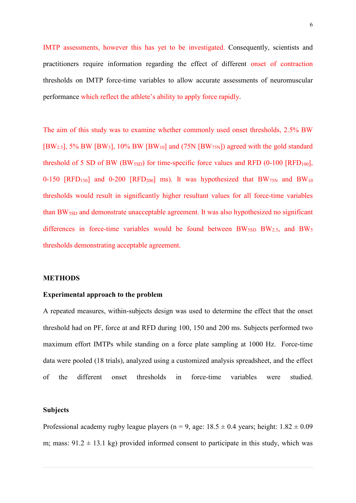IMTP assessments, however this has yet to be investigated. Consequently, scientists and practitioners require information regarding the effect of different onset of contraction thresholds on IMTP force-time variables to allow accurate assessments of neuromuscular performance which reflect the athlete's ability to apply force rapidly.

The aim of this study was to examine whether commonly used onset thresholds, 2.5% BW [BW2.5], 5% BW [BW5], 10% BW [BW10] and (75N [BW75N]) agreed with the gold standard threshold of 5 SD of BW (BW<sub>5SD</sub>) for time-specific force values and RFD (0-100 [RFD<sub>100</sub>], 0-150 [RFD<sub>150</sub>] and 0-200 [RFD<sub>200</sub>] ms). It was hypothesized that  $BW_{75N}$  and  $BW_{10}$ thresholds would result in significantly higher resultant values for all force-time variables than BW<sub>5SD</sub> and demonstrate unacceptable agreement. It was also hypothesized no significant differences in force-time variables would be found between  $BW_{5SD} BW_{2.5}$ , and  $BW_5$ thresholds demonstrating acceptable agreement.

#### **METHODS**

#### **Experimental approach to the problem**

A repeated measures, within-subjects design was used to determine the effect that the onset threshold had on PF, force at and RFD during 100, 150 and 200 ms. Subjects performed two maximum effort IMTPs while standing on a force plate sampling at 1000 Hz. Force-time data were pooled (18 trials), analyzed using a customized analysis spreadsheet, and the effect of the different onset thresholds in force-time variables were studied.

# **Subjects**

Professional academy rugby league players ( $n = 9$ , age:  $18.5 \pm 0.4$  years; height:  $1.82 \pm 0.09$ m; mass:  $91.2 \pm 13.1$  kg) provided informed consent to participate in this study, which was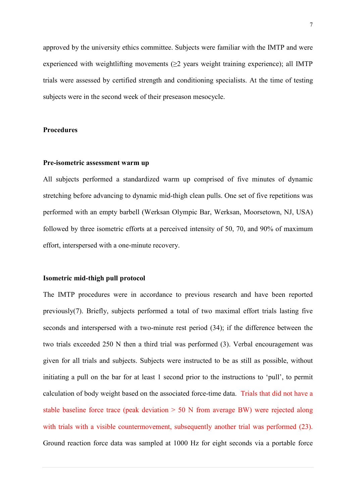approved by the university ethics committee. Subjects were familiar with the IMTP and were experienced with weightlifting movements  $(\geq 2)$  years weight training experience); all IMTP trials were assessed by certified strength and conditioning specialists. At the time of testing subjects were in the second week of their preseason mesocycle.

# **Procedures**

#### **Pre-isometric assessment warm up**

All subjects performed a standardized warm up comprised of five minutes of dynamic stretching before advancing to dynamic mid-thigh clean pulls. One set of five repetitions was performed with an empty barbell (Werksan Olympic Bar, Werksan, Moorsetown, NJ, USA) followed by three isometric efforts at a perceived intensity of 50, 70, and 90% of maximum effort, interspersed with a one-minute recovery.

#### **Isometric mid-thigh pull protocol**

The IMTP procedures were in accordance to previous research and have been reported previously(7). Briefly, subjects performed a total of two maximal effort trials lasting five seconds and interspersed with a two-minute rest period (34); if the difference between the two trials exceeded 250 N then a third trial was performed (3). Verbal encouragement was given for all trials and subjects. Subjects were instructed to be as still as possible, without initiating a pull on the bar for at least 1 second prior to the instructions to 'pull', to permit calculation of body weight based on the associated force-time data. Trials that did not have a stable baseline force trace (peak deviation  $> 50$  N from average BW) were rejected along with trials with a visible countermovement, subsequently another trial was performed (23). Ground reaction force data was sampled at 1000 Hz for eight seconds via a portable force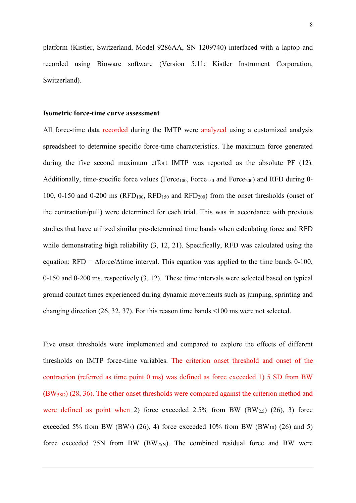platform (Kistler, Switzerland, Model 9286AA, SN 1209740) interfaced with a laptop and recorded using Bioware software (Version 5.11; Kistler Instrument Corporation, Switzerland).

#### **Isometric force-time curve assessment**

All force-time data recorded during the IMTP were analyzed using a customized analysis spreadsheet to determine specific force-time characteristics. The maximum force generated during the five second maximum effort IMTP was reported as the absolute PF (12). Additionally, time-specific force values (Force<sub>100</sub>, Force<sub>150</sub> and Force<sub>200</sub>) and RFD during 0-100, 0-150 and 0-200 ms ( $RFD<sub>100</sub>$ ,  $RFD<sub>150</sub>$  and  $RFD<sub>200</sub>$ ) from the onset thresholds (onset of the contraction/pull) were determined for each trial. This was in accordance with previous studies that have utilized similar pre-determined time bands when calculating force and RFD while demonstrating high reliability  $(3, 12, 21)$ . Specifically, RFD was calculated using the equation: RFD =  $\Delta$ force/ $\Delta$ time interval. This equation was applied to the time bands 0-100, 0-150 and 0-200 ms, respectively (3, 12). These time intervals were selected based on typical ground contact times experienced during dynamic movements such as jumping, sprinting and changing direction (26, 32, 37). For this reason time bands <100 ms were not selected.

Five onset thresholds were implemented and compared to explore the effects of different thresholds on IMTP force-time variables. The criterion onset threshold and onset of the contraction (referred as time point 0 ms) was defined as force exceeded 1) 5 SD from BW (BW5SD) (28, 36). The other onset thresholds were compared against the criterion method and were defined as point when 2) force exceeded  $2.5\%$  from BW (BW $_{2.5}$ ) (26), 3) force exceeded 5% from BW (BW<sub>5</sub>) (26), 4) force exceeded 10% from BW (BW<sub>10</sub>) (26) and 5) force exceeded 75N from BW (BW $_{75N}$ ). The combined residual force and BW were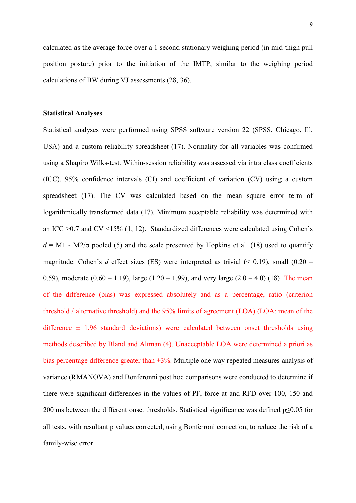calculated as the average force over a 1 second stationary weighing period (in mid-thigh pull position posture) prior to the initiation of the IMTP, similar to the weighing period calculations of BW during VJ assessments (28, 36).

#### **Statistical Analyses**

Statistical analyses were performed using SPSS software version 22 (SPSS, Chicago, Ill, USA) and a custom reliability spreadsheet (17). Normality for all variables was confirmed using a Shapiro Wilks-test. Within-session reliability was assessed via intra class coefficients (ICC), 95% confidence intervals (CI) and coefficient of variation (CV) using a custom spreadsheet (17). The CV was calculated based on the mean square error term of logarithmically transformed data (17). Minimum acceptable reliability was determined with an ICC  $>0.7$  and CV <15% (1, 12). Standardized differences were calculated using Cohen's  $d = M1$  - M2/ $\sigma$  pooled (5) and the scale presented by Hopkins et al. (18) used to quantify magnitude. Cohen's *d* effect sizes (ES) were interpreted as trivial (< 0.19), small (0.20 – 0.59), moderate  $(0.60 - 1.19)$ , large  $(1.20 - 1.99)$ , and very large  $(2.0 - 4.0)$  (18). The mean of the difference (bias) was expressed absolutely and as a percentage, ratio (criterion threshold / alternative threshold) and the 95% limits of agreement (LOA) (LOA: mean of the difference  $\pm$  1.96 standard deviations) were calculated between onset thresholds using methods described by Bland and Altman (4). Unacceptable LOA were determined a priori as bias percentage difference greater than  $\pm 3\%$ . Multiple one way repeated measures analysis of variance (RMANOVA) and Bonferonni post hoc comparisons were conducted to determine if there were significant differences in the values of PF, force at and RFD over 100, 150 and 200 ms between the different onset thresholds. Statistical significance was defined p≤0.05 for all tests, with resultant p values corrected, using Bonferroni correction, to reduce the risk of a family-wise error.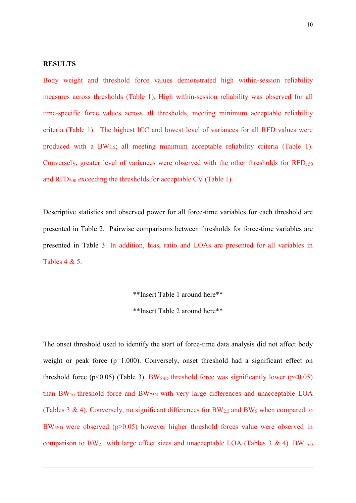### **RESULTS**

Body weight and threshold force values demonstrated high within-session reliability measures across thresholds (Table 1). High within-session reliability was observed for all time-specific force values across all thresholds, meeting minimum acceptable reliability criteria (Table 1). The highest ICC and lowest level of variances for all RFD values were produced with a BW2.5; all meeting minimum acceptable reliability criteria (Table 1). Conversely, greater level of variances were observed with the other thresholds for  $RFD_{150}$ and RFD200 exceeding the thresholds for acceptable CV (Table 1).

Descriptive statistics and observed power for all force-time variables for each threshold are presented in Table 2. Pairwise comparisons between thresholds for force-time variables are presented in Table 3. In addition, bias, ratio and LOAs are presented for all variables in Tables 4 & 5.

> \*\*Insert Table 1 around here\*\* \*\*Insert Table 2 around here\*\*

The onset threshold used to identify the start of force-time data analysis did not affect body weight or peak force  $(p=1.000)$ . Conversely, onset threshold had a significant effect on threshold force ( $p<0.05$ ) (Table 3). BW<sub>5SD</sub> threshold force was significantly lower ( $p<0.05$ ) than  $BW_{10}$  threshold force and  $BW_{75N}$  with very large differences and unacceptable LOA (Tables 3 & 4). Conversely, no significant differences for  $BW_{2.5}$  and  $BW_5$  when compared to BW<sub>5SD</sub> were observed (p>0.05) however higher threshold forces value were observed in comparison to BW<sub>2.5</sub> with large effect sizes and unacceptable LOA (Tables 3 & 4). BW<sub>5SD</sub>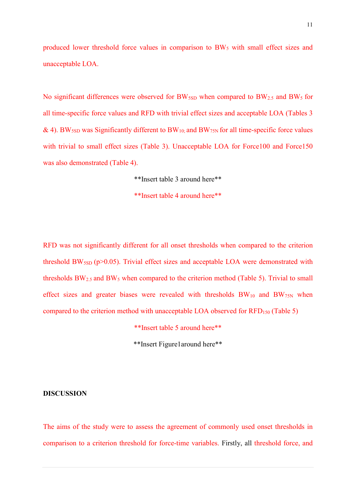produced lower threshold force values in comparison to BW<sub>5</sub> with small effect sizes and unacceptable LOA.

No significant differences were observed for BW<sub>5SD</sub> when compared to BW<sub>2.5</sub> and BW<sub>5</sub> for all time-specific force values and RFD with trivial effect sizes and acceptable LOA (Tables 3 & 4). BW<sub>5SD</sub> was Significantly different to BW<sub>10</sub>; and BW<sub>75N</sub> for all time-specific force values with trivial to small effect sizes (Table 3). Unacceptable LOA for Force100 and Force150 was also demonstrated (Table 4).

\*\*Insert table 3 around here\*\*

\*\*Insert table 4 around here\*\*

RFD was not significantly different for all onset thresholds when compared to the criterion threshold BW<sub>5SD</sub> ( $p>0.05$ ). Trivial effect sizes and acceptable LOA were demonstrated with thresholds  $BW_{2.5}$  and  $BW_5$  when compared to the criterion method (Table 5). Trivial to small effect sizes and greater biases were revealed with thresholds  $BW_{10}$  and  $BW_{75N}$  when compared to the criterion method with unacceptable LOA observed for RFD150 (Table 5)

\*\*Insert table 5 around here\*\*

\*\*Insert Figure1around here\*\*

#### **DISCUSSION**

The aims of the study were to assess the agreement of commonly used onset thresholds in comparison to a criterion threshold for force-time variables. Firstly, all threshold force, and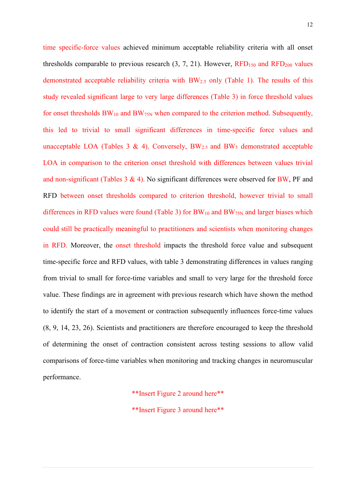time specific-force values achieved minimum acceptable reliability criteria with all onset thresholds comparable to previous research  $(3, 7, 21)$ . However,  $RFD<sub>150</sub>$  and  $RFD<sub>200</sub>$  values demonstrated acceptable reliability criteria with BW2.5 only (Table 1). The results of this study revealed significant large to very large differences (Table 3) in force threshold values for onset thresholds  $BW_{10}$  and  $BW_{75N}$  when compared to the criterion method. Subsequently, this led to trivial to small significant differences in time-specific force values and unacceptable LOA (Tables 3 & 4). Conversely,  $BW_{2.5}$  and  $BW_5$  demonstrated acceptable LOA in comparison to the criterion onset threshold with differences between values trivial and non-significant (Tables  $3 \& 4$ ). No significant differences were observed for BW, PF and RFD between onset thresholds compared to criterion threshold, however trivial to small differences in RFD values were found (Table 3) for  $BW_{10}$  and  $BW_{75N}$  and larger biases which could still be practically meaningful to practitioners and scientists when monitoring changes in RFD. Moreover, the onset threshold impacts the threshold force value and subsequent time-specific force and RFD values, with table 3 demonstrating differences in values ranging from trivial to small for force-time variables and small to very large for the threshold force value. These findings are in agreement with previous research which have shown the method to identify the start of a movement or contraction subsequently influences force-time values (8, 9, 14, 23, 26). Scientists and practitioners are therefore encouraged to keep the threshold of determining the onset of contraction consistent across testing sessions to allow valid comparisons of force-time variables when monitoring and tracking changes in neuromuscular performance.

\*\*Insert Figure 2 around here\*\*

\*\*Insert Figure 3 around here\*\*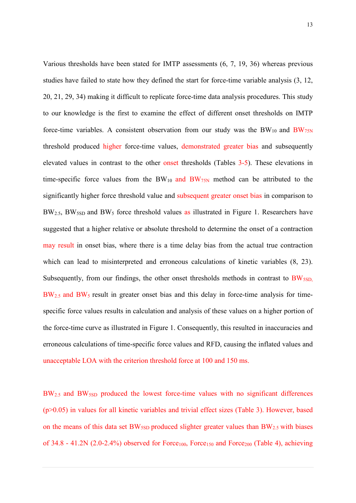Various thresholds have been stated for IMTP assessments (6, 7, 19, 36) whereas previous studies have failed to state how they defined the start for force-time variable analysis (3, 12, 20, 21, 29, 34) making it difficult to replicate force-time data analysis procedures. This study to our knowledge is the first to examine the effect of different onset thresholds on IMTP force-time variables. A consistent observation from our study was the  $BW_{10}$  and  $BW_{75N}$ threshold produced higher force-time values, demonstrated greater bias and subsequently elevated values in contrast to the other onset thresholds (Tables 3-5). These elevations in time-specific force values from the  $BW_{10}$  and  $BW_{75N}$  method can be attributed to the significantly higher force threshold value and subsequent greater onset bias in comparison to  $BW_{2.5}$ , BW<sub>5SD</sub> and BW<sub>5</sub> force threshold values as illustrated in Figure 1. Researchers have suggested that a higher relative or absolute threshold to determine the onset of a contraction may result in onset bias, where there is a time delay bias from the actual true contraction which can lead to misinterpreted and erroneous calculations of kinetic variables  $(8, 23)$ . Subsequently, from our findings, the other onset thresholds methods in contrast to BW<sub>5SD,</sub> BW<sub>2.5</sub> and BW<sub>5</sub> result in greater onset bias and this delay in force-time analysis for timespecific force values results in calculation and analysis of these values on a higher portion of the force-time curve as illustrated in Figure 1. Consequently, this resulted in inaccuracies and erroneous calculations of time-specific force values and RFD, causing the inflated values and unacceptable LOA with the criterion threshold force at 100 and 150 ms.

BW<sub>2.5</sub> and BW<sub>5SD</sub> produced the lowest force-time values with no significant differences (p>0.05) in values for all kinetic variables and trivial effect sizes (Table 3). However, based on the means of this data set  $BW_{5SD}$  produced slighter greater values than  $BW_{2.5}$  with biases of 34.8 - 41.2N (2.0-2.4%) observed for  $Force<sub>100</sub>$ ,  $Force<sub>150</sub>$  and  $Force<sub>200</sub>$  (Table 4), achieving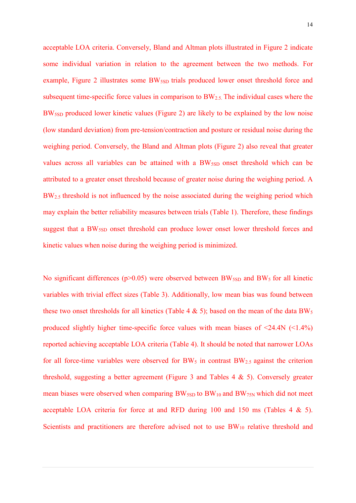acceptable LOA criteria. Conversely, Bland and Altman plots illustrated in Figure 2 indicate some individual variation in relation to the agreement between the two methods. For example, Figure 2 illustrates some BW<sub>5SD</sub> trials produced lower onset threshold force and subsequent time-specific force values in comparison to BW2.5. The individual cases where the BW5SD produced lower kinetic values (Figure 2) are likely to be explained by the low noise (low standard deviation) from pre-tension/contraction and posture or residual noise during the weighing period. Conversely, the Bland and Altman plots (Figure 2) also reveal that greater values across all variables can be attained with a  $BW_{\text{SSD}}$  onset threshold which can be attributed to a greater onset threshold because of greater noise during the weighing period. A BW<sub>2.5</sub> threshold is not influenced by the noise associated during the weighing period which may explain the better reliability measures between trials (Table 1). Therefore, these findings suggest that a BW<sub>5SD</sub> onset threshold can produce lower onset lower threshold forces and kinetic values when noise during the weighing period is minimized.

No significant differences ( $p$ >0.05) were observed between BW<sub>5SD</sub> and BW<sub>5</sub> for all kinetic variables with trivial effect sizes (Table 3). Additionally, low mean bias was found between these two onset thresholds for all kinetics (Table 4  $\&$  5); based on the mean of the data BW<sub>5</sub> produced slightly higher time-specific force values with mean biases of  $\leq 24.4N$  ( $\leq 1.4\%$ ) reported achieving acceptable LOA criteria (Table 4). It should be noted that narrower LOAs for all force-time variables were observed for  $BW_5$  in contrast  $BW_{2.5}$  against the criterion threshold, suggesting a better agreement (Figure 3 and Tables 4 & 5). Conversely greater mean biases were observed when comparing  $BW_{5SD}$  to  $BW_{10}$  and  $BW_{75N}$  which did not meet acceptable LOA criteria for force at and RFD during 100 and 150 ms (Tables 4 & 5). Scientists and practitioners are therefore advised not to use  $BW_{10}$  relative threshold and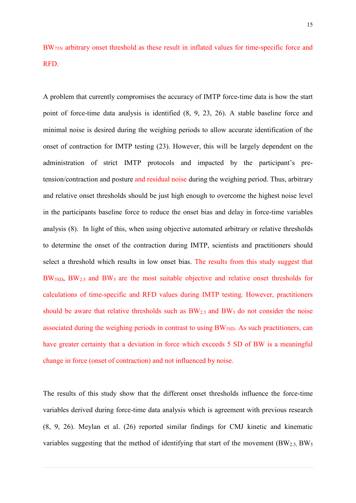BW75N arbitrary onset threshold as these result in inflated values for time-specific force and RFD.

A problem that currently compromises the accuracy of IMTP force-time data is how the start point of force-time data analysis is identified (8, 9, 23, 26). A stable baseline force and minimal noise is desired during the weighing periods to allow accurate identification of the onset of contraction for IMTP testing (23). However, this will be largely dependent on the administration of strict IMTP protocols and impacted by the participant's pretension/contraction and posture and residual noise during the weighing period. Thus, arbitrary and relative onset thresholds should be just high enough to overcome the highest noise level in the participants baseline force to reduce the onset bias and delay in force-time variables analysis (8). In light of this, when using objective automated arbitrary or relative thresholds to determine the onset of the contraction during IMTP, scientists and practitioners should select a threshold which results in low onset bias. The results from this study suggest that BW5SD, BW2.5 and BW5 are the most suitable objective and relative onset thresholds for calculations of time-specific and RFD values during IMTP testing. However, practitioners should be aware that relative thresholds such as  $BW_{2.5}$  and  $BW_5$  do not consider the noise associated during the weighing periods in contrast to using BW<sub>5SD</sub>. As such practitioners, can have greater certainty that a deviation in force which exceeds 5 SD of BW is a meaningful change in force (onset of contraction) and not influenced by noise.

The results of this study show that the different onset thresholds influence the force-time variables derived during force-time data analysis which is agreement with previous research (8, 9, 26). Meylan et al. (26) reported similar findings for CMJ kinetic and kinematic variables suggesting that the method of identifying that start of the movement  $(BW<sub>2.5</sub>, BW<sub>5</sub>)$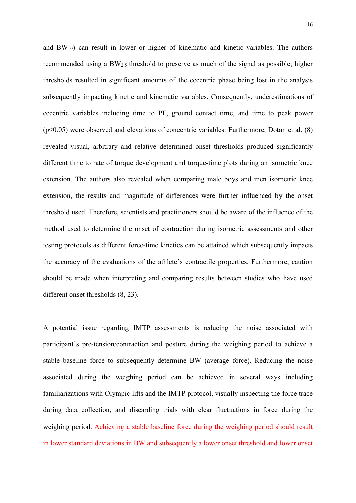and BW10) can result in lower or higher of kinematic and kinetic variables. The authors recommended using a BW<sub>2.5</sub> threshold to preserve as much of the signal as possible; higher thresholds resulted in significant amounts of the eccentric phase being lost in the analysis subsequently impacting kinetic and kinematic variables. Consequently, underestimations of eccentric variables including time to PF, ground contact time, and time to peak power  $(p<0.05)$  were observed and elevations of concentric variables. Furthermore, Dotan et al.  $(8)$ revealed visual, arbitrary and relative determined onset thresholds produced significantly different time to rate of torque development and torque-time plots during an isometric knee extension. The authors also revealed when comparing male boys and men isometric knee extension, the results and magnitude of differences were further influenced by the onset threshold used. Therefore, scientists and practitioners should be aware of the influence of the method used to determine the onset of contraction during isometric assessments and other testing protocols as different force-time kinetics can be attained which subsequently impacts the accuracy of the evaluations of the athlete's contractile properties. Furthermore, caution should be made when interpreting and comparing results between studies who have used different onset thresholds (8, 23).

A potential issue regarding IMTP assessments is reducing the noise associated with participant's pre-tension/contraction and posture during the weighing period to achieve a stable baseline force to subsequently determine BW (average force). Reducing the noise associated during the weighing period can be achieved in several ways including familiarizations with Olympic lifts and the IMTP protocol, visually inspecting the force trace during data collection, and discarding trials with clear fluctuations in force during the weighing period. Achieving a stable baseline force during the weighing period should result in lower standard deviations in BW and subsequently a lower onset threshold and lower onset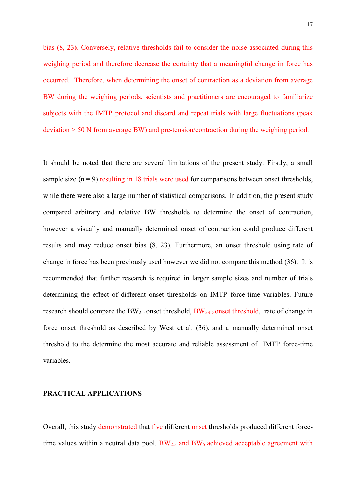bias (8, 23). Conversely, relative thresholds fail to consider the noise associated during this weighing period and therefore decrease the certainty that a meaningful change in force has occurred. Therefore, when determining the onset of contraction as a deviation from average BW during the weighing periods, scientists and practitioners are encouraged to familiarize subjects with the IMTP protocol and discard and repeat trials with large fluctuations (peak deviation > 50 N from average BW) and pre-tension/contraction during the weighing period.

It should be noted that there are several limitations of the present study. Firstly, a small sample size  $(n = 9)$  resulting in 18 trials were used for comparisons between onset thresholds, while there were also a large number of statistical comparisons. In addition, the present study compared arbitrary and relative BW thresholds to determine the onset of contraction, however a visually and manually determined onset of contraction could produce different results and may reduce onset bias (8, 23). Furthermore, an onset threshold using rate of change in force has been previously used however we did not compare this method (36). It is recommended that further research is required in larger sample sizes and number of trials determining the effect of different onset thresholds on IMTP force-time variables. Future research should compare the BW<sub>2.5</sub> onset threshold, BW<sub>5SD</sub> onset threshold, rate of change in force onset threshold as described by West et al. (36), and a manually determined onset threshold to the determine the most accurate and reliable assessment of IMTP force-time variables.

#### **PRACTICAL APPLICATIONS**

Overall, this study demonstrated that five different onset thresholds produced different forcetime values within a neutral data pool.  $BW_{2.5}$  and  $BW_5$  achieved acceptable agreement with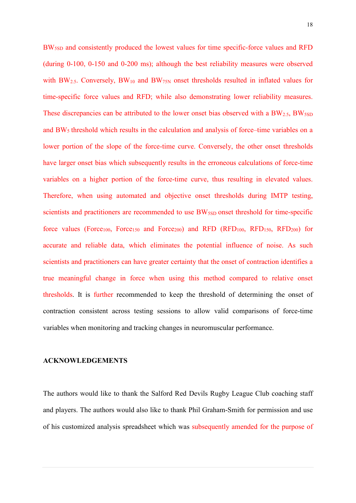BW5SD and consistently produced the lowest values for time specific-force values and RFD (during 0-100, 0-150 and 0-200 ms); although the best reliability measures were observed with BW<sub>2.5</sub>. Conversely, BW<sub>10</sub> and BW<sub>75N</sub> onset thresholds resulted in inflated values for time-specific force values and RFD; while also demonstrating lower reliability measures. These discrepancies can be attributed to the lower onset bias observed with a  $BW_{2.5}$ ,  $BW_{5SD}$ and BW<sub>5</sub> threshold which results in the calculation and analysis of force–time variables on a lower portion of the slope of the force-time curve. Conversely, the other onset thresholds have larger onset bias which subsequently results in the erroneous calculations of force-time variables on a higher portion of the force-time curve, thus resulting in elevated values. Therefore, when using automated and objective onset thresholds during IMTP testing, scientists and practitioners are recommended to use BW<sub>5SD</sub> onset threshold for time-specific force values (Force<sub>100</sub>, Force<sub>150</sub> and Force<sub>200</sub>) and RFD (RFD<sub>100</sub>, RFD<sub>150</sub>, RFD<sub>200</sub>) for accurate and reliable data, which eliminates the potential influence of noise. As such scientists and practitioners can have greater certainty that the onset of contraction identifies a true meaningful change in force when using this method compared to relative onset thresholds. It is further recommended to keep the threshold of determining the onset of contraction consistent across testing sessions to allow valid comparisons of force-time variables when monitoring and tracking changes in neuromuscular performance.

#### **ACKNOWLEDGEMENTS**

The authors would like to thank the Salford Red Devils Rugby League Club coaching staff and players. The authors would also like to thank Phil Graham-Smith for permission and use of his customized analysis spreadsheet which was subsequently amended for the purpose of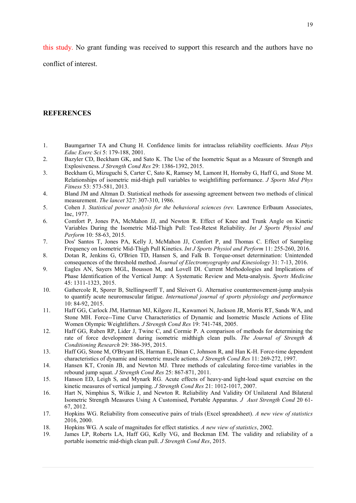this study. No grant funding was received to support this research and the authors have no

conflict of interest.

# **REFERENCES**

- 1. Baumgartner TA and Chung H. Confidence limits for intraclass reliability coefficients. *Meas Phys Educ Exerc Sci* 5: 179-188, 2001.
- 2. Bazyler CD, Beckham GK, and Sato K. The Use of the Isometric Squat as a Measure of Strength and Explosiveness. *J Strength Cond Res* 29: 1386-1392, 2015.
- 3. Beckham G, Mizuguchi S, Carter C, Sato K, Ramsey M, Lamont H, Hornsby G, Haff G, and Stone M. Relationships of isometric mid-thigh pull variables to weightlifting performance. *J Sports Med Phys Fitness* 53: 573-581, 2013.
- 4. Bland JM and Altman D. Statistical methods for assessing agreement between two methods of clinical measurement. *The lancet* 327: 307-310, 1986.
- 5. Cohen J. *Statistical power analysis for the behavioral sciences (rev.* Lawrence Erlbaum Associates, Inc, 1977.
- 6. Comfort P, Jones PA, McMahon JJ, and Newton R. Effect of Knee and Trunk Angle on Kinetic Variables During the Isometric Mid-Thigh Pull: Test-Retest Reliability. *Int J Sports Physiol and Perform* 10: 58-63, 2015.
- 7. Dos' Santos T, Jones PA, Kelly J, McMahon JJ, Comfort P, and Thomas C. Effect of Sampling Frequency on Isometric Mid-Thigh Pull Kinetics. *Int J Sports Physiol and Perform* 11: 255-260, 2016.
- 8. Dotan R, Jenkins G, O'Brien TD, Hansen S, and Falk B. Torque-onset determination: Unintended consequences of the threshold method. *Journal of Electromyography and Kinesiology* 31: 7-13, 2016.
- 9. Eagles AN, Sayers MGL, Bousson M, and Lovell DI. Current Methodologies and Implications of Phase Identification of the Vertical Jump: A Systematic Review and Meta-analysis. *Sports Medicine* 45: 1311-1323, 2015.
- 10. Gathercole R, Sporer B, Stellingwerff T, and Sleivert G. Alternative countermovement-jump analysis to quantify acute neuromuscular fatigue. *International journal of sports physiology and performance* 10: 84-92, 2015.
- 11. Haff GG, Carlock JM, Hartman MJ, Kilgore JL, Kawamori N, Jackson JR, Morris RT, Sands WA, and Stone MH. Force--Time Curve Characteristics of Dynamic and Isometric Muscle Actions of Elite Women Olympic Weightlifters. *J Strength Cond Res* 19: 741-748, 2005.
- 12. Haff GG, Ruben RP, Lider J, Twine C, and Cormie P. A comparison of methods for determining the rate of force development during isometric midthigh clean pulls. *The Journal of Strength & Conditioning Research* 29: 386-395, 2015.
- 13. Haff GG, Stone M, O'Bryant HS, Harman E, Dinan C, Johnson R, and Han K-H. Force-time dependent characteristics of dynamic and isometric muscle actions. *J Strength Cond Res* 11: 269-272, 1997.
- 14. Hansen KT, Cronin JB, and Newton MJ. Three methods of calculating force-time variables in the rebound jump squat. *J Strength Cond Res* 25: 867-871, 2011.
- 15. Hanson ED, Leigh S, and Mynark RG. Acute effects of heavy-and light-load squat exercise on the kinetic measures of vertical jumping. *J Strength Cond Res* 21: 1012-1017, 2007.
- 16. Hart N, Nimphius S, Wilkie J, and Newton R. Reliability And Validity Of Unilateral And Bilateral Isometric Strength Measures Using A Customised, Portable Apparatus. *J Aust Strength Cond* 20 61- 67, 2012.
- 17. Hopkins WG. Reliability from consecutive pairs of trials (Excel spreadsheet). *A new view of statistics* 2016, 2000.
- 18. Hopkins WG. A scale of magnitudes for effect statistics. *A new view of statistics*, 2002.
- 19. James LP, Roberts LA, Haff GG, Kelly VG, and Beckman EM. The validity and reliability of a portable isometric mid-thigh clean pull. *J Strength Cond Res*, 2015.